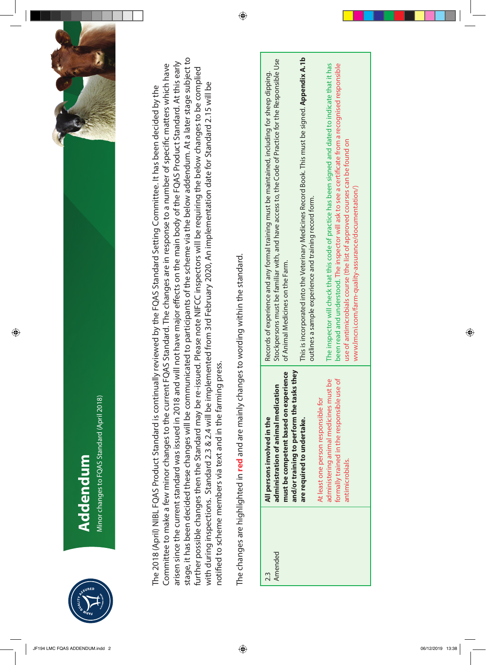

Minor changes to FQAS Standard (April 2018) Minor changes to FQAS Standard (April 2018) **Addendum** 

 $\bigoplus$ 



stage, it has been decided these changes will be communicated to participants of the scheme via the below addendum. At a later stage subject to stage, it has been decided these changes will be communicated to participants of the scheme via the below addendum. At a later stage subject to arisen since the current standard was issued in 2018 and will not have major effects on the main body of the FQAS Product Standard. At this early arisen since the current standard was issued in 2018 and will not have major effects on the main body of the FQAS Product Standard. At this early Committee to make a few minor changes to the current FQAS Standard. The changes are in response to a number of specific matters which have Committee to make a few minor changes to the current FQAS Standard. The changes are in response to a number of specific matters which have further possible changes then the Standard may be re-issued. Please note NIFCC inspectors will be requiring the below changes to be complied further possible changes then the Standard may be re-issued. Please note NIFCC inspectors will be requiring the below changes to be complied with during inspections. Standard 2.3 & 2.4 will be implemented from 3rd February 2020, An implementation date for Standard 2.15 will be with during inspections. Standard 2.3 & 2.4 will be implemented from 3rd February 2020, An implementation date for Standard 2.15 will be The 2018 (April) NIBL FQAS Product Standard is continually reviewed by the FQAS Standard Setting Committee. It has been decided by the The 2018 (April) NIBL FQAS Product Standard is continually reviewed by the FQAS Standard Setting Committee. It has been decided by the notified to scheme members via text and in the farming press. notified to scheme members via text and in the farming press.

The changes are highlighted in red and are mainly changes to wording within the standard. The changes are highlighted in **red** and are mainly changes to wording within the standard.

 $\bigoplus$ 

| 2.3     | All persons involved in the                                                        | Records of experience and any formal training must be maintained, including for sheep dipping.        |
|---------|------------------------------------------------------------------------------------|-------------------------------------------------------------------------------------------------------|
| Amended | administration of animal medication                                                | Stockpersons must be familiar with, and have access to, the Code of Practice for the Responsible Use  |
|         | and/or training to perform the tasks they<br>must be competent based on experience | of Animal Medicines on the Farm.                                                                      |
|         | are required to undertake.                                                         | This is incorporated into the Veterinary Medicines Record Book. This must be signed. Appendix A.1b    |
|         |                                                                                    | outlines a sample experience and training record form.                                                |
|         | At least one person responsible for                                                |                                                                                                       |
|         | idministering animal medicines must be                                             | The inspector will check that this code of practice has been signed and dated to indicate that it has |
|         | ormally trained in the responsible use of                                          | been read and understood. The inspector will ask to see a certificate from a recognised responsible   |
|         | <b>Intimicrobials.</b>                                                             | use of antimicrobials course (the list of approved courses can be found on                            |
|         |                                                                                    | www.lmcni.com/farm-quality-assurance/documentation/)                                                  |
|         |                                                                                    |                                                                                                       |

 $\bigcirc \hspace{-1.25mm}$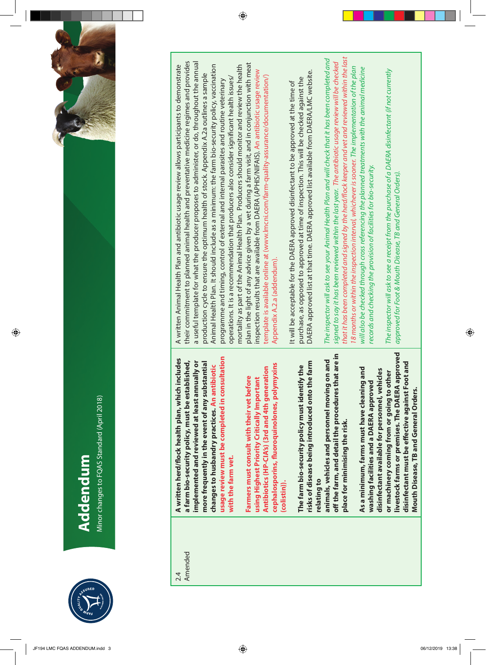

 $\bigcirc$ 

Minor changes to FQAS Standard (April 2018) Minor changes to FQAS Standard (April 2018)



| 2.4     | A written herd/flock health plan, which includes    | A written Animal Health Plan and antibiotic us      |
|---------|-----------------------------------------------------|-----------------------------------------------------|
| Amended | a farm bio-security policy, must be established,    | their commitment to planned animal health ar        |
|         | implemented and reviewed at least annually or       | a useful template for what the producer propo       |
|         | more frequently in the event of any substantial     | production cycle to ensure the optimum healt        |
|         | changes to husbandry practices. An antibiotic       | Animal Health Plan. It should include as a mini     |
|         | usage review must be completed in consultation      | programme and timing, control of external an        |
|         | with the farm vet.                                  | operations. It is a recommendation that produ       |
|         |                                                     | mortality as part of the Animal Health Plan. Pr     |
|         | Farmers must consult with their vet before          | plan in the light of any advice given by a vet di   |
|         | using Highest Priority Critically Important         | inspection results that are available from DAEF     |
|         | Antibiotics (HP-CIA's) (3rd and 4th generation      | template is available online at (www.Imcni.cor      |
|         | cephalosporins, fluoroquinolones, polymyxins        | Appendix A.2.a (addendum).                          |
|         | (colistin)).                                        |                                                     |
|         |                                                     | It will be acceptable for the DAERA approved o      |
|         | The farm bio-security policy must identify the      | purchase, as opposed to approved at time of in      |
|         | risks of disease being introduced onto the farm     | DAERA approved list at that time. DAERA appr        |
|         | relating to                                         |                                                     |
|         | animals, vehicles and personnel moving on and       | The inspector will ask to see your Animal Health    |
|         | off the farm, and detail the procedures that are in | signed to say it has been reviewed within the last  |
|         | place for minimising the risk.                      | that it has been completed and signed by the hei    |
|         |                                                     | 18 months or within the inspection interval, whic   |
|         | As a minimum, farms must have cleaning and          | will also be checked through cross referencing th   |
|         | washing facilities and a DAERA approved             | records and checking the provision of facilities fo |
|         | disinfectant available for personnel, vehicles      |                                                     |
|         | or machinery coming from or going to other          | The inspector will ask to see a receipt from the pu |
|         | livestock farms or premises. The DAERA approved     | approved for Foot & Mouth Disease, TB and Gene      |
|         | disinfectant must be effective against Foot and     |                                                     |
|         | Mouth Disease, TB and General Orders.               |                                                     |

nd preventative medicine regimes and provides their commitment to planned animal health and preventative medicine regimes and provides a useful template for what the producer proposes to administer, or do, throughout the annual ses to administer, or do, throughout the annual plan in the light of any advice given by a vet during a farm visit, and in conjunction with meat mum: the farm bio-security policy, vaccination uring a farm visit, and in conjunction with meat age review allows participants to demonstrate Animal Health Plan. It should include as a minimum: the farm bio-security policy, vaccination oducers should monitor and review the health A written Animal Health Plan and antibiotic usage review allows participants to demonstrate mortality as part of the Animal Health Plan. Producers should monitor and review the health RA (APHIS/NIFAIS). An antibiotic usage review inspection results that are available from DAERA (APHIS/NIFAIS). An antibiotic usage review h of stock. Appendix A.2a outlines a sample production cycle to ensure the optimum health of stock. Appendix A.2a outlines a sample n/farm-quality-assurance/documentation/) cers also consider significant health issues/ template is available online at (www.lmcni.com/farm-quality-assurance/documentation/) d internal parasites and routine veterinary operations. It is a recommendation that producers also consider significant health issues/ programme and timing, control of external and internal parasites and routine veterinary

 $\bigoplus$ 

oved list available from DAERA/LMC website. DAERA approved list at that time. DAERA approved list available from DAERA/LMC website. nspection. This will be checked against the purchase, as opposed to approved at time of inspection. This will be checked against the lisinfectant to be approved at the time of It will be acceptable for the DAERA approved disinfectant to be approved at the time of

d/flock keeper and vet and reviewed within the last *that it has been completed and signed by the herd/flock keeper and vet and reviewed within the last*  Plan and will check that it has been completed and *The inspector will ask to see your Animal Health Plan and will check that it has been completed and*  year. The antibiotic usage review will be checked *signed to say it has been reviewed within the last year. The antibiotic usage review will be checked*  hever is sooner. The implementation of the plan e planned treatments with the animal medicine *18 months or within the inspection interval, whichever is sooner. The implementation of the plan will also be checked through cross referencing the planned treatments with the animal medicine*  r bio-security. *records and checking the provision of facilities for bio-security.*

**urchase of a DAERA disinfectant (if not currently** *The inspector will ask to see a receipt from the purchase of a DAERA disinfectant (if not currently*  tral Orders). *approved for Foot & Mouth Disease, TB and General Orders).*

 $\bigoplus$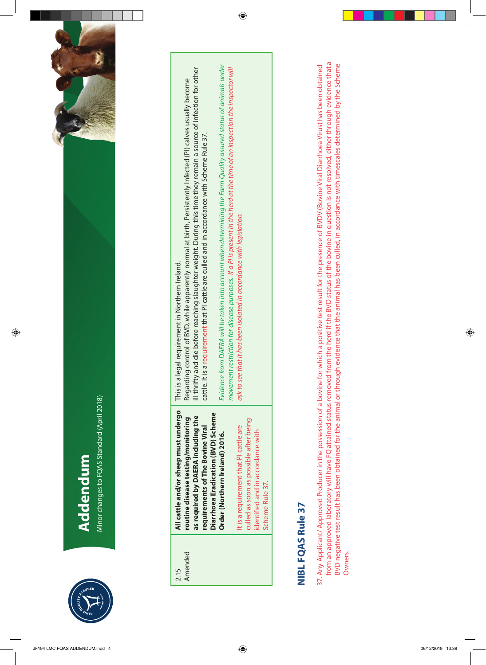

Minor changes to FQAS Standard (April 2018) Minor changes to FQAS Standard (April 2018) Addendum **Addendum**

 $\bigcirc$ 



| 2.15    | All cattle and/or sheep must undergo   | This is a legal requirement in Northern Ireland.                                                                          |
|---------|----------------------------------------|---------------------------------------------------------------------------------------------------------------------------|
| Amended | routine disease testing/monitoring     | Regarding control of BVD, while apparently normal at birth, Persistently Infected (PI) calves usually become              |
|         | as required by DAERA including the     | Ill-thrifty and die before reaching slaughter weight. During this time they remain a source of infection for other        |
|         | requirements of The Bovine Viral       | cattle. It is a requirement that PI cattle are culled and in accordance with Scheme Rule 37.                              |
|         | Diarrhoea Eradication (BVD) Scheme     |                                                                                                                           |
|         | Order (Northern Ireland) 2016.         | Evidence from DAERA will be taken into account when determining the Farm Quality assured status of animals under          |
|         |                                        | movement restriction for disease purposes. If a PI is present in the herd at the time of an inspection the inspector will |
|         | It is a requirement that PI cattle are | ask to see that it has been isolated in accordance with legislation.                                                      |
|         | culled as soon as possible after being |                                                                                                                           |
|         | identified and in accordance with      |                                                                                                                           |
|         | Scheme Rule 37.                        |                                                                                                                           |

 $\bigcirc$ 

## **NIBL FQAS Rule 37 NIBL FQAS Rule 37**

from an approved laboratory will have FQ attained status removed from the herd if the BVD status of the bovine in question is not resolved, either through evidence that a from an approved laboratory will have FQ attained status removed from the herd if the BVD status of the bovine in question is not resolved, either through evidence that a BVD negative test result has been obtained for the animal or through evidence that the animal has been culled, in accordance with timescales determined by the Scheme 37. Any Applicant/ Approved Producer in the possession of a bovine for which a positive test result for the presence of BVDV (Bovine Viral Diarrhoea Virus) has been obtained BVD negative test result has been obtained for the animal or through evidence that the animal has been culled, in accordance with timescales determined by the Scheme 37. Any Applicant/ Approved Producer in the possession of a bovine for which a positive test result for the presence of BVDV (Bovine Viral Diarrhoea Virus) has been obtained Owners.

 $\bigoplus$